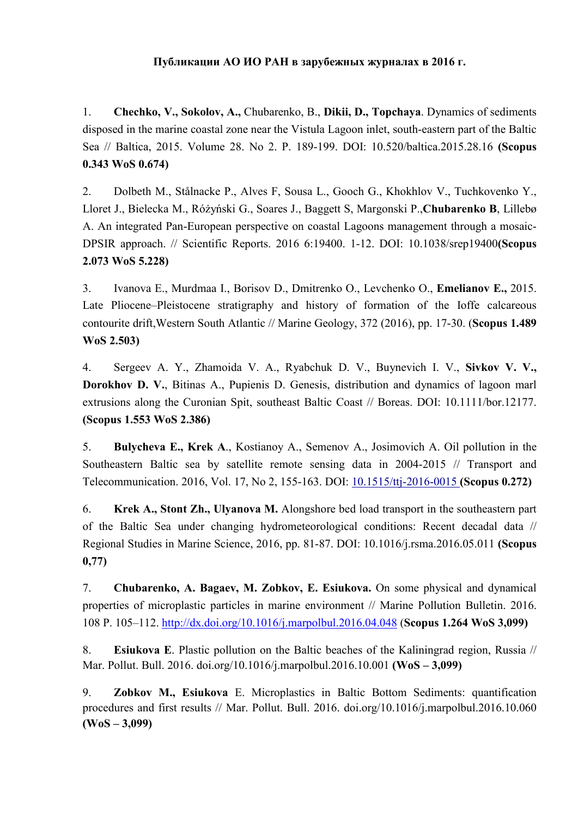## **Публикации АО ИО РАН в зарубежных журналах в 2016 г.**

1. **Chechko, V., Sokolov, A.,** Chubarenko, B., **Dikii, D., Topchaya**. Dynamics of sediments disposed in the marine coastal zone near the Vistula Lagoon inlet, south-eastern part of the Baltic Sea // Baltica, 2015. Volume 28. No 2. P. 189-199. DOI: 10.520/baltica.2015.28.16 **(Scopus 0.343 WoS 0.674)**

2. Dolbeth M., Stålnacke P., Alves F, Sousa L., Gooch G., Khokhlov V., Tuchkovenko Y., Lloret J., Bielecka M., Różyński G., Soares J., Baggett S, Margonski P.,**Chubarenko B**, Lillebø A. An integrated Pan-European perspective on coastal Lagoons management through a mosaic-DPSIR approach. // Scientific Reports. 2016 6:19400. 1-12. DOI: 10.1038/srep19400**(Scopus 2.073 WoS 5.228)**

3. Ivanova E., Murdmaa I., Borisov D., Dmitrenko O., Levchenko O., **Emelianov E.,** 2015. Late Pliocene–Pleistocene stratigraphy and history of formation of the Ioffe calcareous contourite drift,Western South Atlantic // Marine Geology, 372 (2016), pp. 17-30. (**Scopus 1.489 WoS 2.503)**

4. Sergeev A. Y., Zhamoida V. A., Ryabchuk D. V., Buynevich I. V., **Sivkov V. V., Dorokhov D. V.**, Bitinas A., Pupienis D. Genesis, distribution and dynamics of lagoon marl extrusions along the Curonian Spit, southeast Baltic Coast // Boreas. DOI: 10.1111/bor.12177. **(Scopus 1.553 WoS 2.386)**

5. **Bulycheva E., Krek A**., Kostianoy A., Semenov A., Josimovich A. Oil pollution in the Southeastern Baltic sea by satellite remote sensing data in 2004-2015 // Transport and Telecommunication. 2016, Vol. 17, No 2, 155-163. DOI: [10.1515/ttj-2016-0015](http://dx.doi.org/10.7868/S0030157416020118) **(Scopus 0.272)**

6. **Krek A., Stont Zh., Ulyanova M.** Alongshore bed load transport in the southeastern part of the Baltic Sea under changing hydrometeorological conditions: Recent decadal data // Regional Studies in Marine Science, 2016, pp. 81-87. DOI: 10.1016/j.rsma.2016.05.011 **(Scopus 0,77)**

7. **Chubarenko, A. Bagaev, M. Zobkov, E. Esiukova.** On some physical and dynamical properties of microplastic particles in marine environment // Marine Pollution Bulletin. 2016. 108 P. 105–112. <http://dx.doi.org/10.1016/j.marpolbul.2016.04.048> (**Scopus 1.264 WoS 3,099)**

8. **Esiukova E**. Plastic pollution on the Baltic beaches of the Kaliningrad region, Russia // Mar. Pollut. Bull. 2016. doi.org/10.1016/j.marpolbul.2016.10.001 **(WoS – 3,099)**

9. **Zobkov M., Esiukova** E. Microplastics in Baltic Bottom Sediments: quantification procedures and first results // Mar. Pollut. Bull. 2016. doi.org/10.1016/j.marpolbul.2016.10.060 **(WoS – 3,099)**